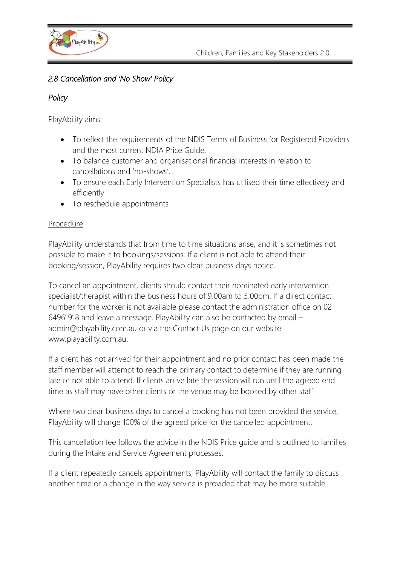

## *2.8 Cancellation and 'No Show' Policy*

## *Policy*

PlayAbility aims:

- To reflect the requirements of the NDIS Terms of Business for Registered Providers and the most current NDIA Price Guide.
- To balance customer and organisational financial interests in relation to cancellations and 'no-shows'.
- To ensure each Early Intervention Specialists has utilised their time effectively and efficiently
- To reschedule appointments

## Procedure

PlayAbility understands that from time to time situations arise, and it is sometimes not possible to make it to bookings/sessions. If a client is not able to attend their booking/session, PlayAbility requires two clear business days notice.

To cancel an appointment, clients should contact their nominated early intervention specialist/therapist within the business hours of 9.00am to 5.00pm. If a direct contact number for the worker is not available please contact the administration office on 02 64961918 and leave a message. PlayAbility can also be contacted by email – admin@playability.com.au or via the Contact Us page on our website www.playability.com.au.

If a client has not arrived for their appointment and no prior contact has been made the staff member will attempt to reach the primary contact to determine if they are running late or not able to attend. If clients arrive late the session will run until the agreed end time as staff may have other clients or the venue may be booked by other staff.

Where two clear business days to cancel a booking has not been provided the service, PlayAbility will charge 100% of the agreed price for the cancelled appointment.

This cancellation fee follows the advice in the NDIS Price guide and is outlined to families during the Intake and Service Agreement processes.

If a client repeatedly cancels appointments, PlayAbility will contact the family to discuss another time or a change in the way service is provided that may be more suitable.